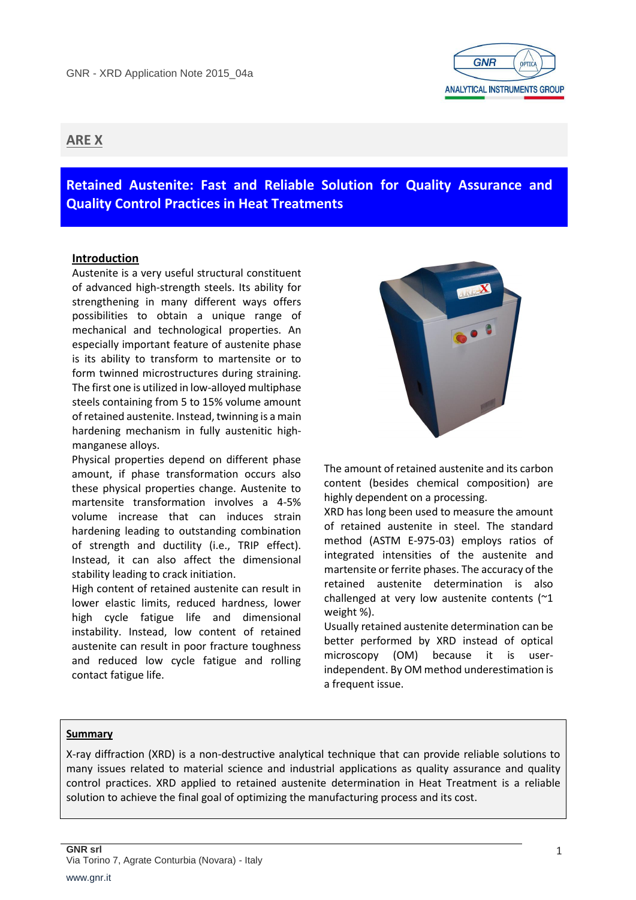

# **ARE X**

**Retained Austenite: Fast and Reliable Solution for Quality Assurance and Quality Control Practices in Heat Treatments**

# **Introduction**

Austenite is a very useful structural constituent of advanced high-strength steels. Its ability for strengthening in many different ways offers possibilities to obtain a unique range of mechanical and technological properties. An especially important feature of austenite phase is its ability to transform to martensite or to form twinned microstructures during straining. The first one is utilized in low-alloyed multiphase steels containing from 5 to 15% volume amount of retained austenite. Instead, twinning is a main hardening mechanism in fully austenitic highmanganese alloys.

Physical properties depend on different phase amount, if phase transformation occurs also these physical properties change. Austenite to martensite transformation involves a 4-5% volume increase that can induces strain hardening leading to outstanding combination of strength and ductility (i.e., TRIP effect). Instead, it can also affect the dimensional stability leading to crack initiation.

High content of retained austenite can result in lower elastic limits, reduced hardness, lower high cycle fatigue life and dimensional instability. Instead, low content of retained austenite can result in poor fracture toughness and reduced low cycle fatigue and rolling contact fatigue life.



The amount of retained austenite and its carbon content (besides chemical composition) are highly dependent on a processing.

XRD has long been used to measure the amount of retained austenite in steel. The standard method (ASTM E-975-03) employs ratios of integrated intensities of the austenite and martensite or ferrite phases. The accuracy of the retained austenite determination is also challenged at very low austenite contents (~1 weight %).

Usually retained austenite determination can be better performed by XRD instead of optical microscopy (OM) because it is userindependent. By OM method underestimation is a frequent issue.

## **Summary**

X-ray diffraction (XRD) is a non-destructive analytical technique that can provide reliable solutions to many issues related to material science and industrial applications as quality assurance and quality control practices. XRD applied to retained austenite determination in Heat Treatment is a reliable solution to achieve the final goal of optimizing the manufacturing process and its cost.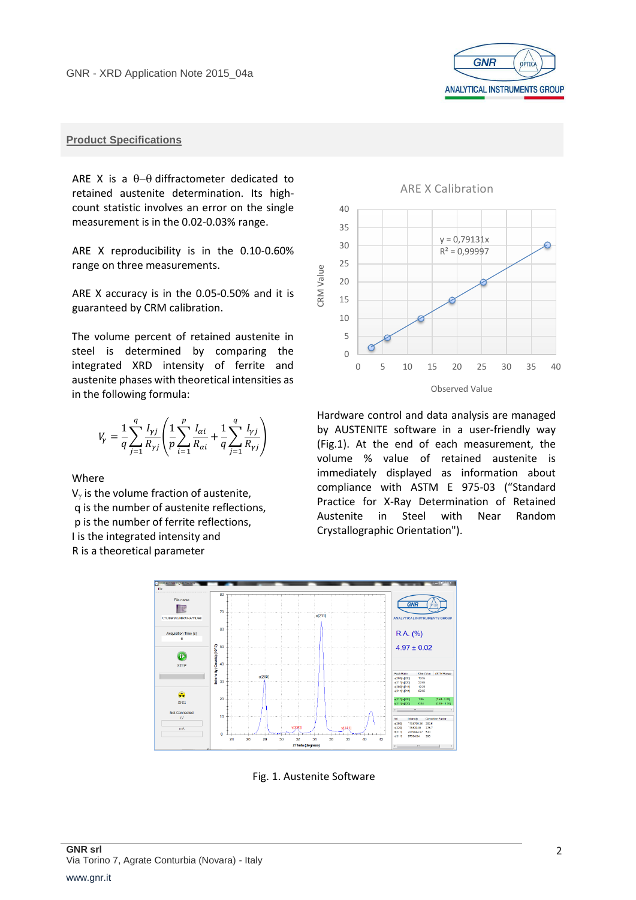

# **Product Specifications**

ARE X is a  $\theta-\theta$  diffractometer dedicated to retained austenite determination. Its highcount statistic involves an error on the single measurement is in the 0.02-0.03% range.

ARE X reproducibility is in the 0.10-0.60% range on three measurements.

ARE X accuracy is in the 0.05-0.50% and it is guaranteed by CRM calibration.

The volume percent of retained austenite in steel is determined by comparing the integrated XRD intensity of ferrite and austenite phases with theoretical intensities as in the following formula:

$$
V_{\gamma} = \frac{1}{q} \sum_{j=1}^{q} \frac{I_{\gamma j}}{R_{\gamma j}} \left( \frac{1}{p} \sum_{i=1}^{p} \frac{I_{\alpha i}}{R_{\alpha i}} + \frac{1}{q} \sum_{j=1}^{q} \frac{I_{\gamma j}}{R_{\gamma j}} \right)
$$

Where

 $V_{\gamma}$  is the volume fraction of austenite, q is the number of austenite reflections, p is the number of ferrite reflections, I is the integrated intensity and R is a theoretical parameter



Observed Value

Hardware control and data analysis are managed by AUSTENITE software in a user-friendly way (Fig.1). At the end of each measurement, the volume % value of retained austenite is immediately displayed as information about compliance with ASTM E 975-03 ("Standard Practice for X-Ray Determination of Retained Austenite in Steel with Near Random Crystallographic Orientation").



Fig. 1. Austenite Software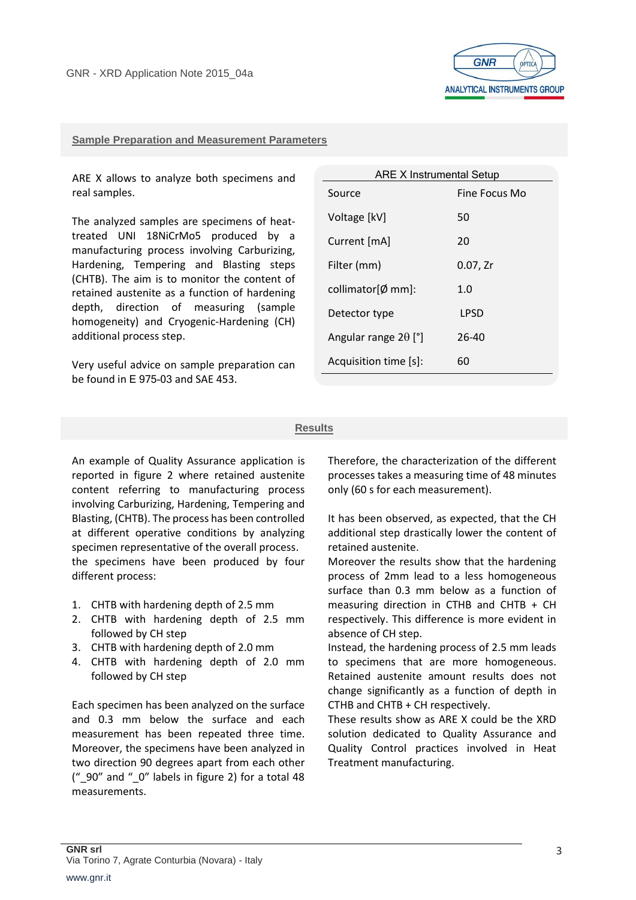

#### **Sample Preparation and Measurement Parameters**

ARE X allows to analyze both specimens and real samples.

The analyzed samples are specimens of heattreated UNI 18NiCrMo5 produced by a manufacturing process involving Carburizing, Hardening, Tempering and Blasting steps (CHTB). The aim is to monitor the content of retained austenite as a function of hardening depth, direction of measuring (sample homogeneity) and Cryogenic-Hardening (CH) additional process step.

Very useful advice on sample preparation can be found in E 975-03 and SAE 453.

| <b>ARE X Instrumental Setup</b> |               |
|---------------------------------|---------------|
| Source                          | Fine Focus Mo |
| Voltage [kV]                    | 50            |
| Current [mA]                    | 20            |
| Filter (mm)                     | $0.07$ , Zr   |
| collimator $\emptyset$ mm]:     | 1.0           |
| Detector type                   | LPSD          |
| Angular range $2\theta$ [°]     | $26 - 40$     |
| Acquisition time [s]:           | 60            |

#### **Results**

An example of Quality Assurance application is reported in figure 2 where retained austenite content referring to manufacturing process involving Carburizing, Hardening, Tempering and Blasting, (CHTB). The process has been controlled at different operative conditions by analyzing specimen representative of the overall process. the specimens have been produced by four different process:

- 1. CHTB with hardening depth of 2.5 mm
- 2. CHTB with hardening depth of 2.5 mm followed by CH step
- 3. CHTB with hardening depth of 2.0 mm
- 4. CHTB with hardening depth of 2.0 mm followed by CH step

Each specimen has been analyzed on the surface and 0.3 mm below the surface and each measurement has been repeated three time. Moreover, the specimens have been analyzed in two direction 90 degrees apart from each other (" $90$ " and " $0$ " labels in figure 2) for a total 48 measurements.

Therefore, the characterization of the different processes takes a measuring time of 48 minutes only (60 s for each measurement).

It has been observed, as expected, that the CH additional step drastically lower the content of retained austenite.

Moreover the results show that the hardening process of 2mm lead to a less homogeneous surface than 0.3 mm below as a function of measuring direction in CTHB and CHTB + CH respectively. This difference is more evident in absence of CH step.

Instead, the hardening process of 2.5 mm leads to specimens that are more homogeneous. Retained austenite amount results does not change significantly as a function of depth in CTHB and CHTB + CH respectively.

These results show as ARE X could be the XRD solution dedicated to Quality Assurance and Quality Control practices involved in Heat Treatment manufacturing.